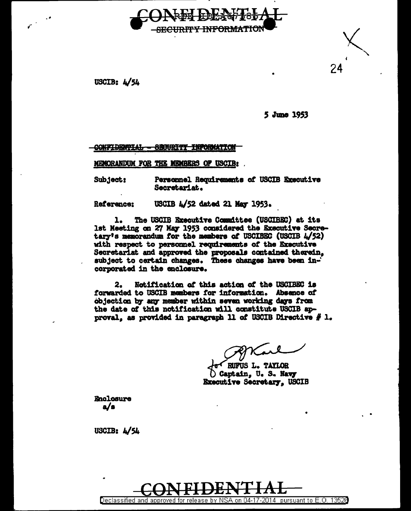

USCIB:  $4/54$ 

5 June 1953

24

CONFIDENTIAL - SECURITY INFORMATION

MEMORANDUM FOR THE MEMBERS OF USCIB:

Subject: Personnel Requirements of USCIB Executive Secretariat.

USCIB 4/52 dated 21 May 1953. Reference:

The USCIB Executive Committee (USCIBEC) at its 1. 1st Meeting on 27 May 1953 considered the Executive Secretary's memorandum for the members of USCIBEC (USCIB  $4/52$ ) with respect to personnel requirements of the Executive Secretariat and approved the proposals contained therein, subject to certain changes. These changes have been incorporated in the enclosure.

Notification of this action of the USCIBEC is 2. forwarded to USCIB members for information. Absence of objection by any member within seven working days from the date of this notification will constitute USCIB approval, as provided in paragraph 11 of USCIB Directive  $\#$  1.

RUFUS L. TAYLOR Captain, U. S. Navy **Executive Secretary, USCIB** 

**Enclosure** a/s

USCIB:  $\frac{1}{54}$